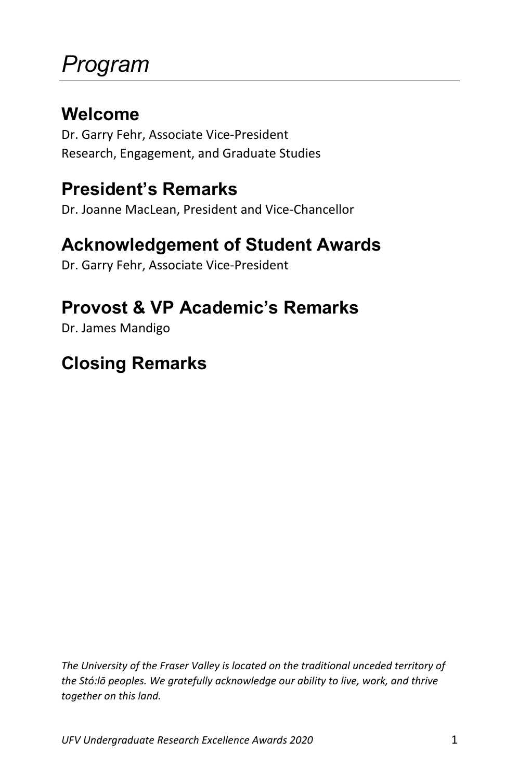## *Program*

#### **Welcome**

Dr. Garry Fehr, Associate Vice-President Research, Engagement, and Graduate Studies

#### **President's Remarks**

Dr. Joanne MacLean, President and Vice-Chancellor

#### **Acknowledgement of Student Awards**

Dr. Garry Fehr, Associate Vice-President

#### **Provost & VP Academic's Remarks**

Dr. James Mandigo

#### **Closing Remarks**

*The University of the Fraser Valley is located on the traditional unceded territory of the Stó:lō peoples. We gratefully acknowledge our ability to live, work, and thrive together on this land.*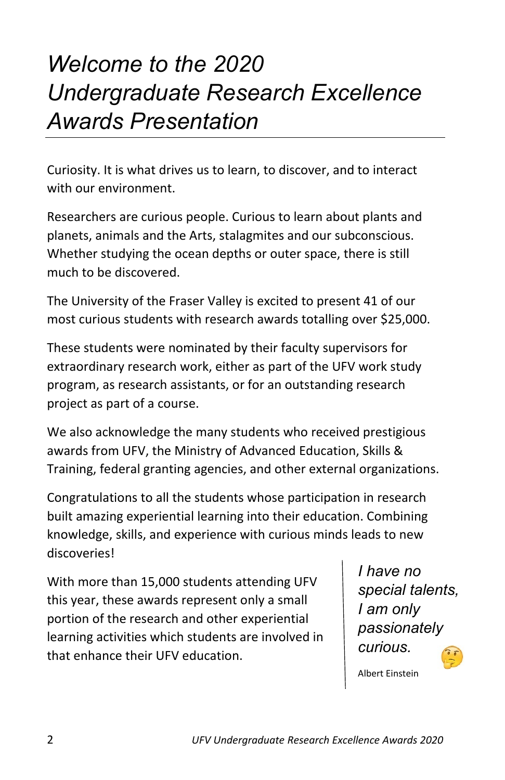## *Welcome to the 2020 Undergraduate Research Excellence Awards Presentation*

Curiosity. It is what drives us to learn, to discover, and to interact with our environment.

Researchers are curious people. Curious to learn about plants and planets, animals and the Arts, stalagmites and our subconscious. Whether studying the ocean depths or outer space, there is still much to be discovered.

The University of the Fraser Valley is excited to present 41 of our most curious students with research awards totalling over \$25,000.

These students were nominated by their faculty supervisors for extraordinary research work, either as part of the UFV work study program, as research assistants, or for an outstanding research project as part of a course.

We also acknowledge the many students who received prestigious awards from UFV, the Ministry of Advanced Education, Skills & Training, federal granting agencies, and other external organizations.

Congratulations to all the students whose participation in research built amazing experiential learning into their education. Combining knowledge, skills, and experience with curious minds leads to new discoveries!

With more than 15,000 students attending UFV this year, these awards represent only a small portion of the research and other experiential learning activities which students are involved in that enhance their UFV education.

*I have no special talents, I am only passionately curious.*

Albert Einstein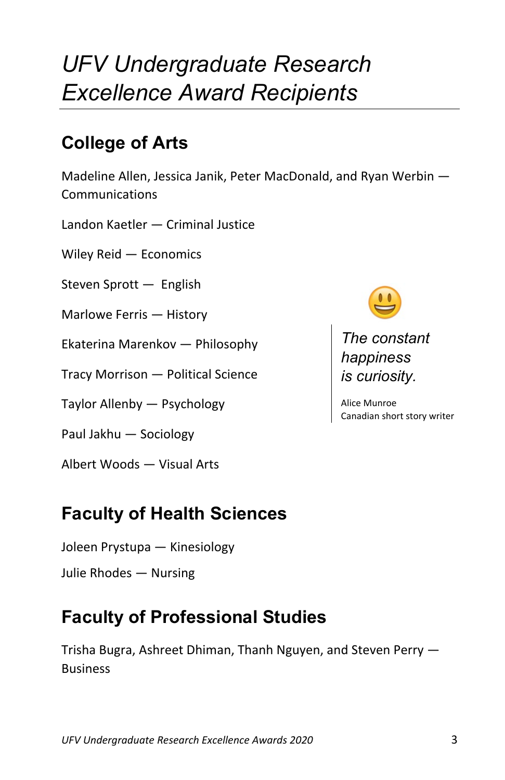## *UFV Undergraduate Research Excellence Award Recipients*

### **College of Arts**

Madeline Allen, Jessica Janik, Peter MacDonald, and Ryan Werbin — Communications

Landon Kaetler — Criminal Justice

Wiley Reid — Economics

Steven Sprott — English

Marlowe Ferris — History

Ekaterina Marenkov — Philosophy

Tracy Morrison — Political Science

Taylor Allenby — Psychology

Paul Jakhu — Sociology

Albert Woods — Visual Arts

#### **Faculty of Health Sciences**

- Joleen Prystupa Kinesiology
- Julie Rhodes Nursing

### **Faculty of Professional Studies**

Trisha Bugra, Ashreet Dhiman, Thanh Nguyen, and Steven Perry — Business



*The constant happiness is curiosity.*

Alice Munroe Canadian short story writer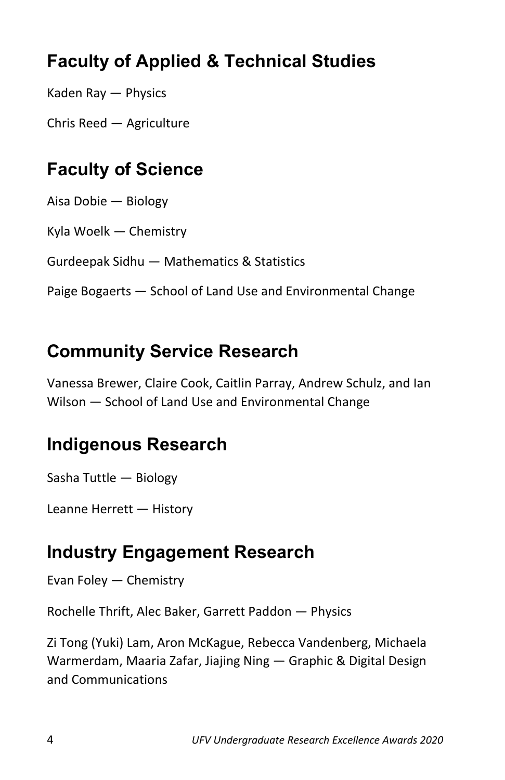### **Faculty of Applied & Technical Studies**

Kaden Ray — Physics

Chris Reed — Agriculture

#### **Faculty of Science**

Aisa Dobie — Biology

Kyla Woelk — Chemistry

Gurdeepak Sidhu — Mathematics & Statistics

Paige Bogaerts — School of Land Use and Environmental Change

#### **Community Service Research**

Vanessa Brewer, Claire Cook, Caitlin Parray, Andrew Schulz, and Ian Wilson — School of Land Use and Environmental Change

#### **Indigenous Research**

Sasha Tuttle — Biology

Leanne Herrett — History

#### **Industry Engagement Research**

Evan Foley — Chemistry

Rochelle Thrift, Alec Baker, Garrett Paddon — Physics

Zi Tong (Yuki) Lam, Aron McKague, Rebecca Vandenberg, Michaela Warmerdam, Maaria Zafar, Jiajing Ning — Graphic & Digital Design and Communications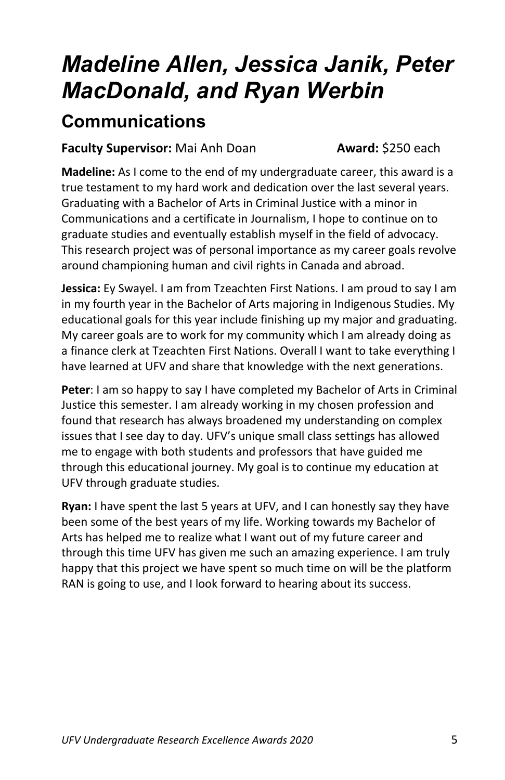## *Madeline Allen, Jessica Janik, Peter MacDonald, and Ryan Werbin*

#### **Communications**

#### **Faculty Supervisor:** Mai Anh Doan **Award:** \$250 each

**Madeline:** As I come to the end of my undergraduate career, this award is a true testament to my hard work and dedication over the last several years. Graduating with a Bachelor of Arts in Criminal Justice with a minor in Communications and a certificate in Journalism, I hope to continue on to graduate studies and eventually establish myself in the field of advocacy. This research project was of personal importance as my career goals revolve around championing human and civil rights in Canada and abroad.

**Jessica:** Ey Swayel. I am from Tzeachten First Nations. I am proud to say I am in my fourth year in the Bachelor of Arts majoring in Indigenous Studies. My educational goals for this year include finishing up my major and graduating. My career goals are to work for my community which I am already doing as a finance clerk at Tzeachten First Nations. Overall I want to take everything I have learned at UFV and share that knowledge with the next generations.

**Peter**: I am so happy to say I have completed my Bachelor of Arts in Criminal Justice this semester. I am already working in my chosen profession and found that research has always broadened my understanding on complex issues that I see day to day. UFV's unique small class settings has allowed me to engage with both students and professors that have guided me through this educational journey. My goal is to continue my education at UFV through graduate studies.

**Ryan:** I have spent the last 5 years at UFV, and I can honestly say they have been some of the best years of my life. Working towards my Bachelor of Arts has helped me to realize what I want out of my future career and through this time UFV has given me such an amazing experience. I am truly happy that this project we have spent so much time on will be the platform RAN is going to use, and I look forward to hearing about its success.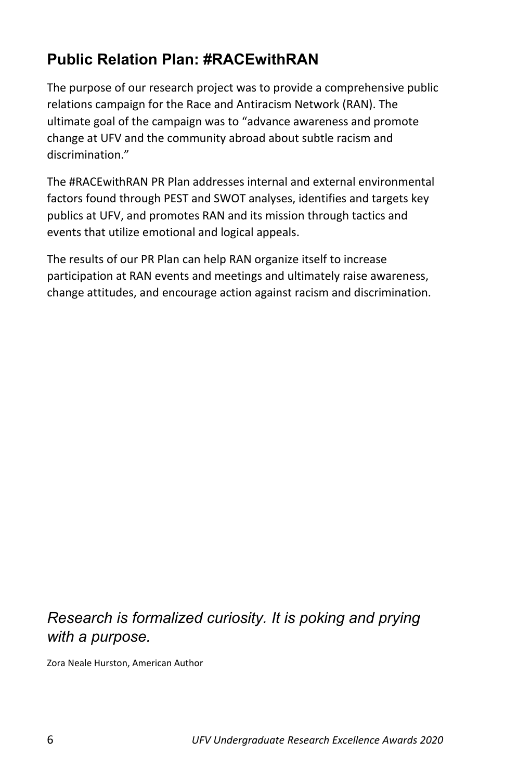#### **Public Relation Plan: #RACEwithRAN**

The purpose of our research project was to provide a comprehensive public relations campaign for the Race and Antiracism Network (RAN). The ultimate goal of the campaign was to "advance awareness and promote change at UFV and the community abroad about subtle racism and discrimination."

The #RACEwithRAN PR Plan addresses internal and external environmental factors found through PEST and SWOT analyses, identifies and targets key publics at UFV, and promotes RAN and its mission through tactics and events that utilize emotional and logical appeals.

The results of our PR Plan can help RAN organize itself to increase participation at RAN events and meetings and ultimately raise awareness, change attitudes, and encourage action against racism and discrimination.

#### *Research is formalized curiosity. It is poking and prying with a purpose.*

Zora Neale Hurston, American Author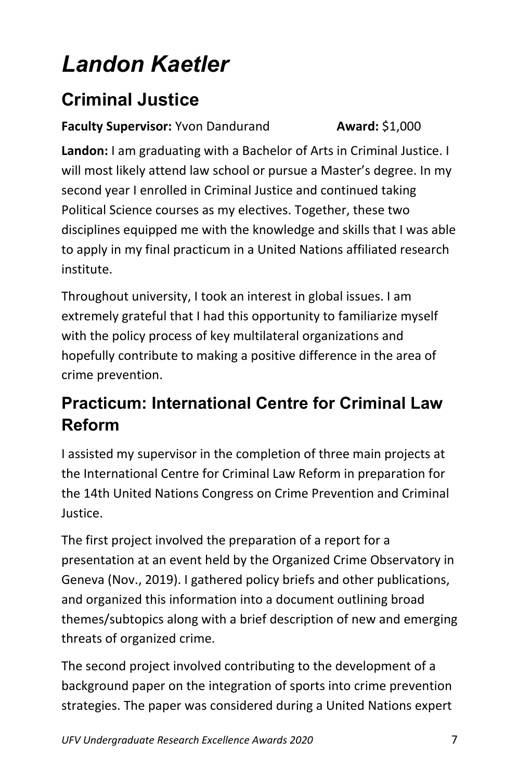## *Landon Kaetler*

### **Criminal Justice**

**Faculty Supervisor:** Yvon Dandurand **Award:** \$1,000

**Landon:** I am graduating with a Bachelor of Arts in Criminal Justice. I will most likely attend law school or pursue a Master's degree. In my second year I enrolled in Criminal Justice and continued taking Political Science courses as my electives. Together, these two disciplines equipped me with the knowledge and skills that I was able to apply in my final practicum in a United Nations affiliated research institute.

Throughout university, I took an interest in global issues. I am extremely grateful that I had this opportunity to familiarize myself with the policy process of key multilateral organizations and hopefully contribute to making a positive difference in the area of crime prevention.

#### **Practicum: International Centre for Criminal Law Reform**

I assisted my supervisor in the completion of three main projects at the International Centre for Criminal Law Reform in preparation for the 14th United Nations Congress on Crime Prevention and Criminal Justice.

The first project involved the preparation of a report for a presentation at an event held by the Organized Crime Observatory in Geneva (Nov., 2019). I gathered policy briefs and other publications, and organized this information into a document outlining broad themes/subtopics along with a brief description of new and emerging threats of organized crime.

The second project involved contributing to the development of a background paper on the integration of sports into crime prevention strategies. The paper was considered during a United Nations expert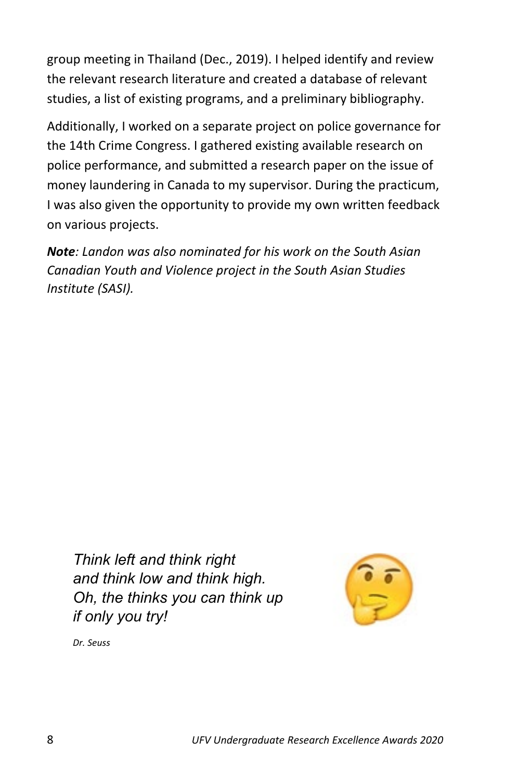group meeting in Thailand (Dec., 2019). I helped identify and review the relevant research literature and created a database of relevant studies, a list of existing programs, and a preliminary bibliography.

Additionally, I worked on a separate project on police governance for the 14th Crime Congress. I gathered existing available research on police performance, and submitted a research paper on the issue of money laundering in Canada to my supervisor. During the practicum, I was also given the opportunity to provide my own written feedback on various projects.

*Note: Landon was also nominated for his work on the South Asian Canadian Youth and Violence project in the South Asian Studies Institute (SASI).*

*Think left and think right and think low and think high. Oh, the thinks you can think up if only you try!*



*Dr. Seuss*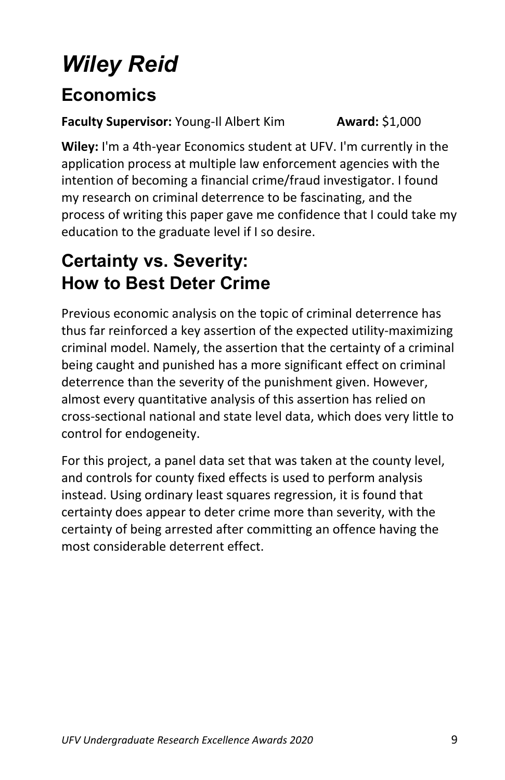## *Wiley Reid*

#### **Economics**

#### **Faculty Supervisor:** Young-Il Albert Kim **Award:** \$1,000

**Wiley:** I'm a 4th-year Economics student at UFV. I'm currently in the application process at multiple law enforcement agencies with the intention of becoming a financial crime/fraud investigator. I found my research on criminal deterrence to be fascinating, and the process of writing this paper gave me confidence that I could take my education to the graduate level if I so desire.

### **Certainty vs. Severity: How to Best Deter Crime**

Previous economic analysis on the topic of criminal deterrence has thus far reinforced a key assertion of the expected utility-maximizing criminal model. Namely, the assertion that the certainty of a criminal being caught and punished has a more significant effect on criminal deterrence than the severity of the punishment given. However, almost every quantitative analysis of this assertion has relied on cross-sectional national and state level data, which does very little to control for endogeneity.

For this project, a panel data set that was taken at the county level, and controls for county fixed effects is used to perform analysis instead. Using ordinary least squares regression, it is found that certainty does appear to deter crime more than severity, with the certainty of being arrested after committing an offence having the most considerable deterrent effect.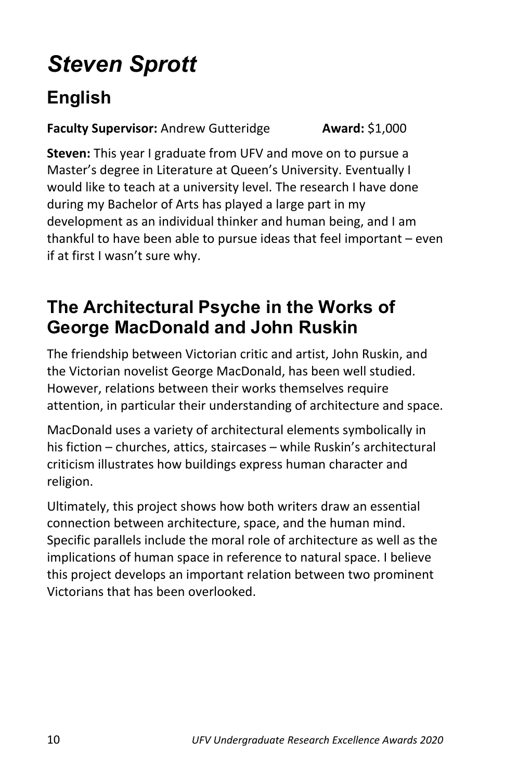## *Steven Sprott*

### **English**

**Faculty Supervisor:** Andrew Gutteridge **Award:** \$1,000

**Steven:** This year I graduate from UFV and move on to pursue a Master's degree in Literature at Queen's University. Eventually I would like to teach at a university level. The research I have done during my Bachelor of Arts has played a large part in my development as an individual thinker and human being, and I am thankful to have been able to pursue ideas that feel important – even if at first I wasn't sure why.

#### **The Architectural Psyche in the Works of George MacDonald and John Ruskin**

The friendship between Victorian critic and artist, John Ruskin, and the Victorian novelist George MacDonald, has been well studied. However, relations between their works themselves require attention, in particular their understanding of architecture and space.

MacDonald uses a variety of architectural elements symbolically in his fiction – churches, attics, staircases – while Ruskin's architectural criticism illustrates how buildings express human character and religion.

Ultimately, this project shows how both writers draw an essential connection between architecture, space, and the human mind. Specific parallels include the moral role of architecture as well as the implications of human space in reference to natural space. I believe this project develops an important relation between two prominent Victorians that has been overlooked.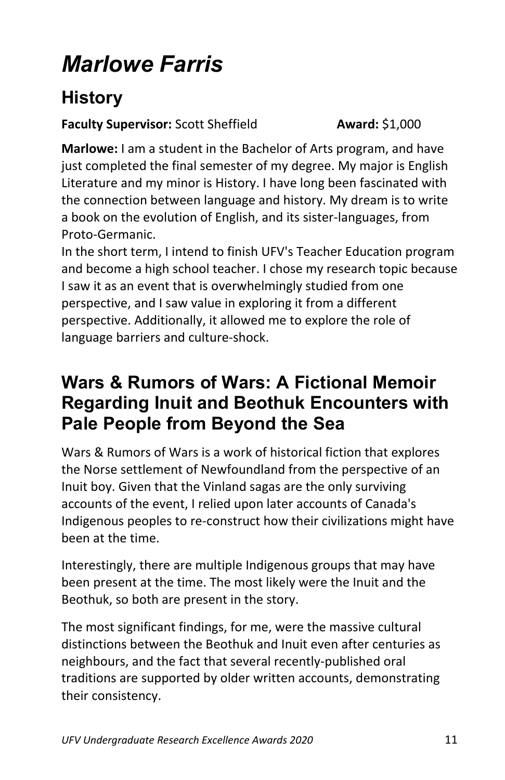## *Marlowe Farris*

#### **History**

#### **Faculty Supervisor:** Scott Sheffield **Award:** \$1,000

**Marlowe:** I am a student in the Bachelor of Arts program, and have just completed the final semester of my degree. My major is English Literature and my minor is History. I have long been fascinated with the connection between language and history. My dream is to write a book on the evolution of English, and its sister-languages, from Proto-Germanic.

In the short term, I intend to finish UFV's Teacher Education program and become a high school teacher. I chose my research topic because I saw it as an event that is overwhelmingly studied from one perspective, and I saw value in exploring it from a different perspective. Additionally, it allowed me to explore the role of language barriers and culture-shock.

#### **Wars & Rumors of Wars: A Fictional Memoir Regarding Inuit and Beothuk Encounters with Pale People from Beyond the Sea**

Wars & Rumors of Wars is a work of historical fiction that explores the Norse settlement of Newfoundland from the perspective of an Inuit boy. Given that the Vinland sagas are the only surviving accounts of the event, I relied upon later accounts of Canada's Indigenous peoples to re-construct how their civilizations might have been at the time.

Interestingly, there are multiple Indigenous groups that may have been present at the time. The most likely were the Inuit and the Beothuk, so both are present in the story.

The most significant findings, for me, were the massive cultural distinctions between the Beothuk and Inuit even after centuries as neighbours, and the fact that several recently-published oral traditions are supported by older written accounts, demonstrating their consistency.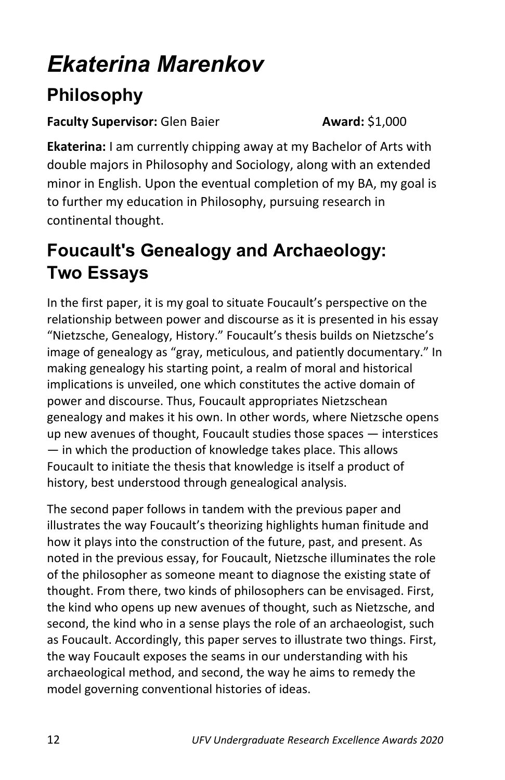## *Ekaterina Marenkov*

### **Philosophy**

#### **Faculty Supervisor:** Glen Baier **Award:** \$1,000

**Ekaterina:** I am currently chipping away at my Bachelor of Arts with double majors in Philosophy and Sociology, along with an extended minor in English. Upon the eventual completion of my BA, my goal is to further my education in Philosophy, pursuing research in continental thought.

### **Foucault's Genealogy and Archaeology: Two Essays**

In the first paper, it is my goal to situate Foucault's perspective on the relationship between power and discourse as it is presented in his essay "Nietzsche, Genealogy, History." Foucault's thesis builds on Nietzsche's image of genealogy as "gray, meticulous, and patiently documentary." In making genealogy his starting point, a realm of moral and historical implications is unveiled, one which constitutes the active domain of power and discourse. Thus, Foucault appropriates Nietzschean genealogy and makes it his own. In other words, where Nietzsche opens up new avenues of thought, Foucault studies those spaces — interstices — in which the production of knowledge takes place. This allows Foucault to initiate the thesis that knowledge is itself a product of history, best understood through genealogical analysis.

The second paper follows in tandem with the previous paper and illustrates the way Foucault's theorizing highlights human finitude and how it plays into the construction of the future, past, and present. As noted in the previous essay, for Foucault, Nietzsche illuminates the role of the philosopher as someone meant to diagnose the existing state of thought. From there, two kinds of philosophers can be envisaged. First, the kind who opens up new avenues of thought, such as Nietzsche, and second, the kind who in a sense plays the role of an archaeologist, such as Foucault. Accordingly, this paper serves to illustrate two things. First, the way Foucault exposes the seams in our understanding with his archaeological method, and second, the way he aims to remedy the model governing conventional histories of ideas.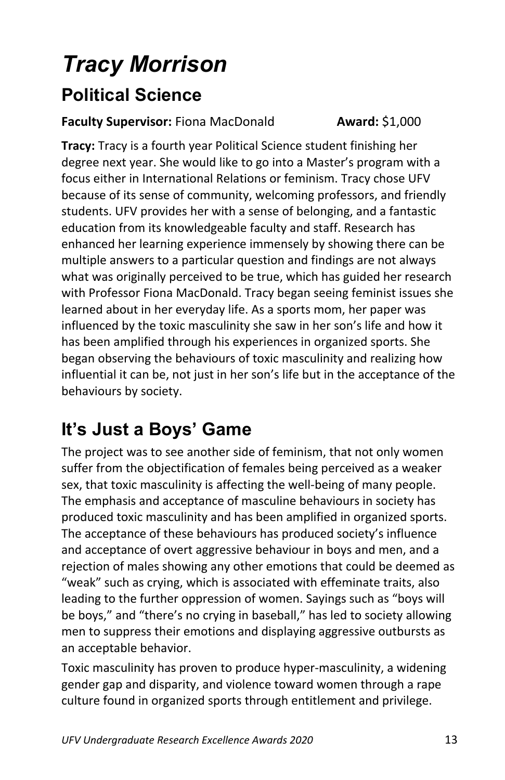## *Tracy Morrison* **Political Science**

#### **Faculty Supervisor:** Fiona MacDonald **Award:** \$1,000

**Tracy:** Tracy is a fourth year Political Science student finishing her degree next year. She would like to go into a Master's program with a focus either in International Relations or feminism. Tracy chose UFV because of its sense of community, welcoming professors, and friendly students. UFV provides her with a sense of belonging, and a fantastic education from its knowledgeable faculty and staff. Research has enhanced her learning experience immensely by showing there can be multiple answers to a particular question and findings are not always what was originally perceived to be true, which has guided her research with Professor Fiona MacDonald. Tracy began seeing feminist issues she learned about in her everyday life. As a sports mom, her paper was influenced by the toxic masculinity she saw in her son's life and how it has been amplified through his experiences in organized sports. She began observing the behaviours of toxic masculinity and realizing how influential it can be, not just in her son's life but in the acceptance of the behaviours by society.

### **It's Just a Boys' Game**

The project was to see another side of feminism, that not only women suffer from the objectification of females being perceived as a weaker sex, that toxic masculinity is affecting the well-being of many people. The emphasis and acceptance of masculine behaviours in society has produced toxic masculinity and has been amplified in organized sports. The acceptance of these behaviours has produced society's influence and acceptance of overt aggressive behaviour in boys and men, and a rejection of males showing any other emotions that could be deemed as "weak" such as crying, which is associated with effeminate traits, also leading to the further oppression of women. Sayings such as "boys will be boys," and "there's no crying in baseball," has led to society allowing men to suppress their emotions and displaying aggressive outbursts as an acceptable behavior.

Toxic masculinity has proven to produce hyper-masculinity, a widening gender gap and disparity, and violence toward women through a rape culture found in organized sports through entitlement and privilege.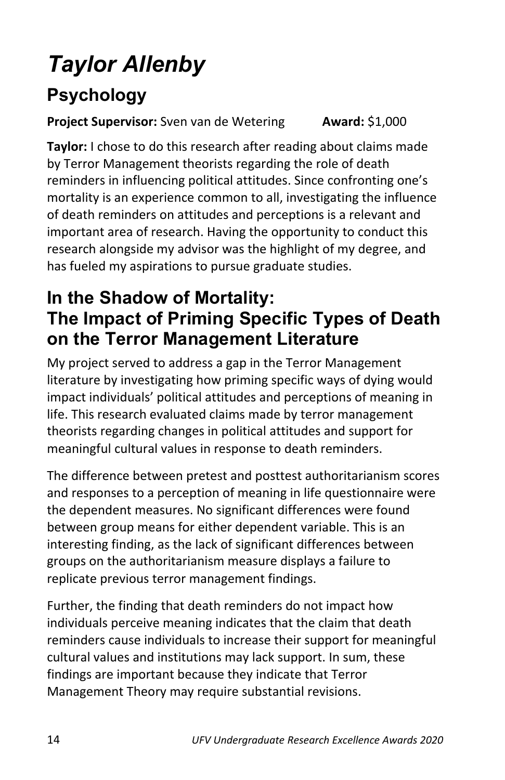## *Taylor Allenby*

### **Psychology**

#### **Project Supervisor:** Sven van de Wetering **Award:** \$1,000

**Taylor:** I chose to do this research after reading about claims made by Terror Management theorists regarding the role of death reminders in influencing political attitudes. Since confronting one's mortality is an experience common to all, investigating the influence of death reminders on attitudes and perceptions is a relevant and important area of research. Having the opportunity to conduct this research alongside my advisor was the highlight of my degree, and has fueled my aspirations to pursue graduate studies.

#### **In the Shadow of Mortality: The Impact of Priming Specific Types of Death on the Terror Management Literature**

My project served to address a gap in the Terror Management literature by investigating how priming specific ways of dying would impact individuals' political attitudes and perceptions of meaning in life. This research evaluated claims made by terror management theorists regarding changes in political attitudes and support for meaningful cultural values in response to death reminders.

The difference between pretest and posttest authoritarianism scores and responses to a perception of meaning in life questionnaire were the dependent measures. No significant differences were found between group means for either dependent variable. This is an interesting finding, as the lack of significant differences between groups on the authoritarianism measure displays a failure to replicate previous terror management findings.

Further, the finding that death reminders do not impact how individuals perceive meaning indicates that the claim that death reminders cause individuals to increase their support for meaningful cultural values and institutions may lack support. In sum, these findings are important because they indicate that Terror Management Theory may require substantial revisions.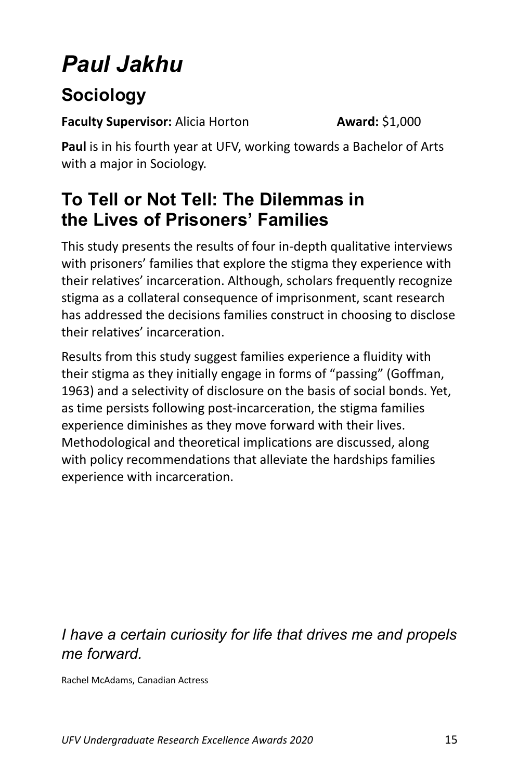## *Paul Jakhu*

### **Sociology**

**Faculty Supervisor:** Alicia Horton **Award:** \$1,000

**Paul** is in his fourth year at UFV, working towards a Bachelor of Arts with a major in Sociology.

#### **To Tell or Not Tell: The Dilemmas in the Lives of Prisoners' Families**

This study presents the results of four in-depth qualitative interviews with prisoners' families that explore the stigma they experience with their relatives' incarceration. Although, scholars frequently recognize stigma as a collateral consequence of imprisonment, scant research has addressed the decisions families construct in choosing to disclose their relatives' incarceration.

Results from this study suggest families experience a fluidity with their stigma as they initially engage in forms of "passing" (Goffman, 1963) and a selectivity of disclosure on the basis of social bonds. Yet, as time persists following post-incarceration, the stigma families experience diminishes as they move forward with their lives. Methodological and theoretical implications are discussed, along with policy recommendations that alleviate the hardships families experience with incarceration.

#### *I have a certain curiosity for life that drives me and propels me forward.*

Rachel McAdams, Canadian Actress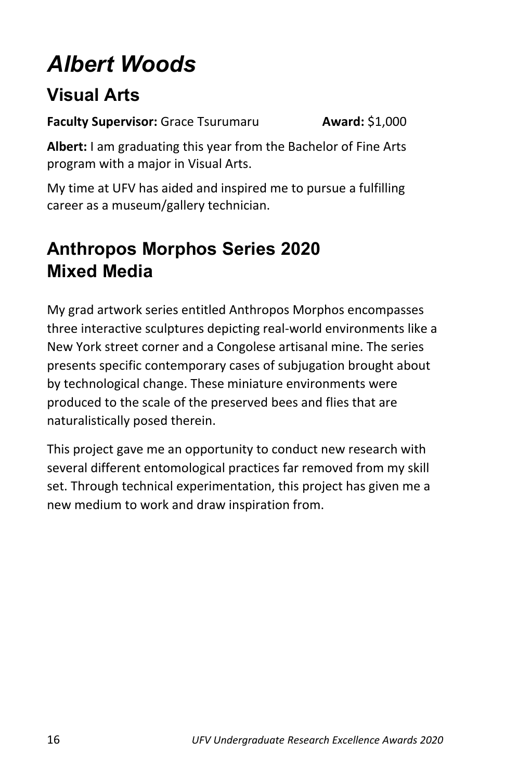## *Albert Woods*

#### **Visual Arts**

**Faculty Supervisor:** Grace Tsurumaru **Award:** \$1,000

**Albert:** I am graduating this year from the Bachelor of Fine Arts program with a major in Visual Arts.

My time at UFV has aided and inspired me to pursue a fulfilling career as a museum/gallery technician.

#### **Anthropos Morphos Series 2020 Mixed Media**

My grad artwork series entitled Anthropos Morphos encompasses three interactive sculptures depicting real-world environments like a New York street corner and a Congolese artisanal mine. The series presents specific contemporary cases of subjugation brought about by technological change. These miniature environments were produced to the scale of the preserved bees and flies that are naturalistically posed therein.

This project gave me an opportunity to conduct new research with several different entomological practices far removed from my skill set. Through technical experimentation, this project has given me a new medium to work and draw inspiration from.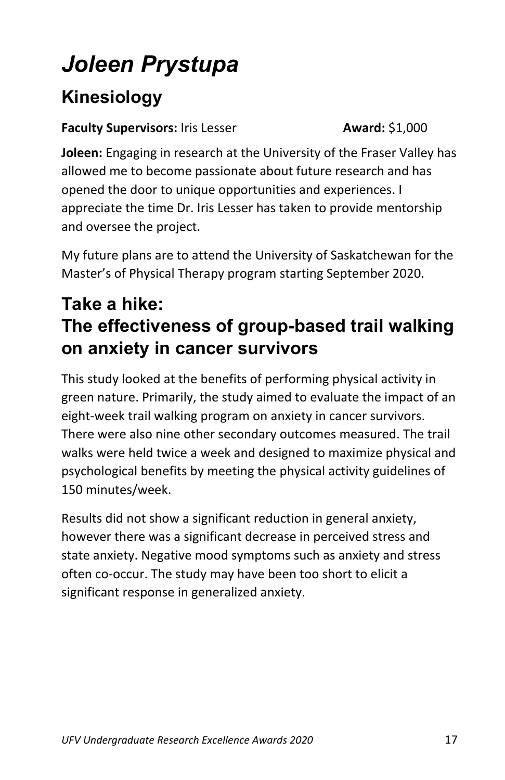## *Joleen Prystupa*

### **Kinesiology**

#### **Faculty Supervisors:** Iris Lesser **Award:** \$1,000

**Joleen:** Engaging in research at the University of the Fraser Valley has allowed me to become passionate about future research and has opened the door to unique opportunities and experiences. I appreciate the time Dr. Iris Lesser has taken to provide mentorship and oversee the project.

My future plans are to attend the University of Saskatchewan for the Master's of Physical Therapy program starting September 2020.

#### **Take a hike: The effectiveness of group-based trail walking on anxiety in cancer survivors**

This study looked at the benefits of performing physical activity in green nature. Primarily, the study aimed to evaluate the impact of an eight-week trail walking program on anxiety in cancer survivors. There were also nine other secondary outcomes measured. The trail walks were held twice a week and designed to maximize physical and psychological benefits by meeting the physical activity guidelines of 150 minutes/week.

Results did not show a significant reduction in general anxiety, however there was a significant decrease in perceived stress and state anxiety. Negative mood symptoms such as anxiety and stress often co-occur. The study may have been too short to elicit a significant response in generalized anxiety.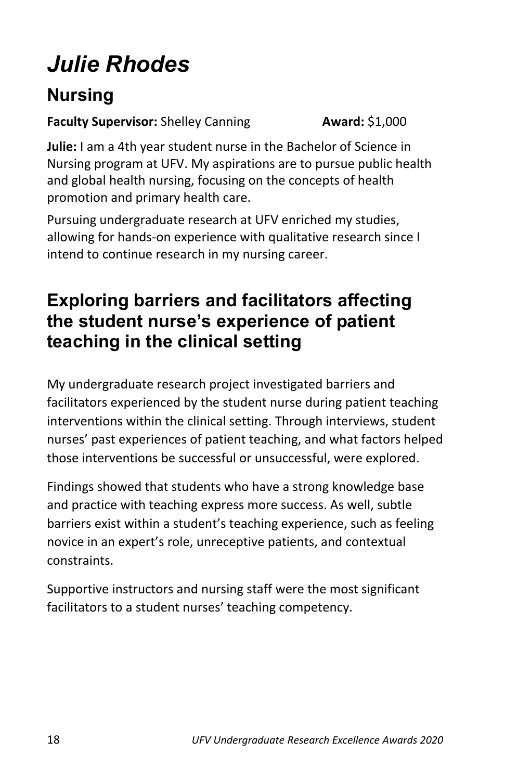## *Julie Rhodes*

### **Nursing**

#### **Faculty Supervisor:** Shelley Canning **Award:** \$1,000

**Julie:** I am a 4th year student nurse in the Bachelor of Science in Nursing program at UFV. My aspirations are to pursue public health and global health nursing, focusing on the concepts of health promotion and primary health care.

Pursuing undergraduate research at UFV enriched my studies, allowing for hands-on experience with qualitative research since I intend to continue research in my nursing career.

#### **Exploring barriers and facilitators affecting the student nurse's experience of patient teaching in the clinical setting**

My undergraduate research project investigated barriers and facilitators experienced by the student nurse during patient teaching interventions within the clinical setting. Through interviews, student nurses' past experiences of patient teaching, and what factors helped those interventions be successful or unsuccessful, were explored.

Findings showed that students who have a strong knowledge base and practice with teaching express more success. As well, subtle barriers exist within a student's teaching experience, such as feeling novice in an expert's role, unreceptive patients, and contextual constraints.

Supportive instructors and nursing staff were the most significant facilitators to a student nurses' teaching competency.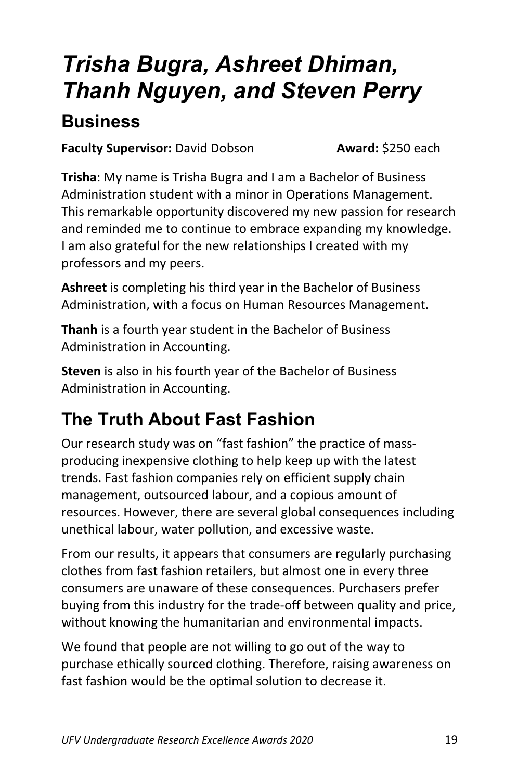## *Trisha Bugra, Ashreet Dhiman, Thanh Nguyen, and Steven Perry*

#### **Business**

**Faculty Supervisor:** David Dobson **Award:** \$250 each

**Trisha**: My name is Trisha Bugra and I am a Bachelor of Business Administration student with a minor in Operations Management. This remarkable opportunity discovered my new passion for research and reminded me to continue to embrace expanding my knowledge. I am also grateful for the new relationships I created with my professors and my peers.

**Ashreet** is completing his third year in the Bachelor of Business Administration, with a focus on Human Resources Management.

**Thanh** is a fourth year student in the Bachelor of Business Administration in Accounting.

**Steven** is also in his fourth year of the Bachelor of Business Administration in Accounting.

### **The Truth About Fast Fashion**

Our research study was on "fast fashion" the practice of massproducing inexpensive clothing to help keep up with the latest trends. Fast fashion companies rely on efficient supply chain management, outsourced labour, and a copious amount of resources. However, there are several global consequences including unethical labour, water pollution, and excessive waste.

From our results, it appears that consumers are regularly purchasing clothes from fast fashion retailers, but almost one in every three consumers are unaware of these consequences. Purchasers prefer buying from this industry for the trade-off between quality and price, without knowing the humanitarian and environmental impacts.

We found that people are not willing to go out of the way to purchase ethically sourced clothing. Therefore, raising awareness on fast fashion would be the optimal solution to decrease it.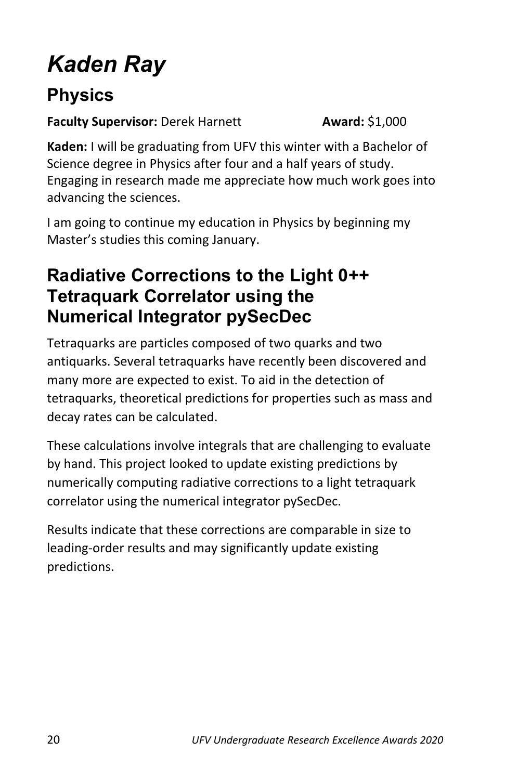## *Kaden Ray*

### **Physics**

**Faculty Supervisor:** Derek Harnett **Award:** \$1,000

**Kaden:** I will be graduating from UFV this winter with a Bachelor of Science degree in Physics after four and a half years of study. Engaging in research made me appreciate how much work goes into advancing the sciences.

I am going to continue my education in Physics by beginning my Master's studies this coming January.

#### **Radiative Corrections to the Light 0++ Tetraquark Correlator using the Numerical Integrator pySecDec**

Tetraquarks are particles composed of two quarks and two antiquarks. Several tetraquarks have recently been discovered and many more are expected to exist. To aid in the detection of tetraquarks, theoretical predictions for properties such as mass and decay rates can be calculated.

These calculations involve integrals that are challenging to evaluate by hand. This project looked to update existing predictions by numerically computing radiative corrections to a light tetraquark correlator using the numerical integrator pySecDec.

Results indicate that these corrections are comparable in size to leading-order results and may significantly update existing predictions.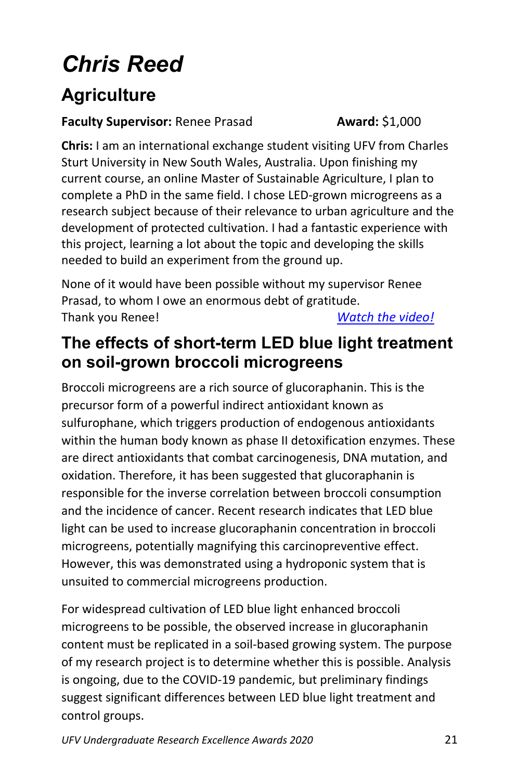## *Chris Reed*

### **Agriculture**

#### **Faculty Supervisor:** Renee Prasad **Award:** \$1,000

**Chris:** I am an international exchange student visiting UFV from Charles Sturt University in New South Wales, Australia. Upon finishing my current course, an online Master of Sustainable Agriculture, I plan to complete a PhD in the same field. I chose LED-grown microgreens as a research subject because of their relevance to urban agriculture and the development of protected cultivation. I had a fantastic experience with this project, learning a lot about the topic and developing the skills needed to build an experiment from the ground up.

None of it would have been possible without my supervisor Renee Prasad, to whom I owe an enormous debt of gratitude. Thank you Renee! *[Watch the video!](https://www.youtube.com/watch?v=Nx_YZ_OUdUc&feature=youtu.be)*

#### **The effects of short-term LED blue light treatment on soil-grown broccoli microgreens**

Broccoli microgreens are a rich source of glucoraphanin. This is the precursor form of a powerful indirect antioxidant known as sulfurophane, which triggers production of endogenous antioxidants within the human body known as phase II detoxification enzymes. These are direct antioxidants that combat carcinogenesis, DNA mutation, and oxidation. Therefore, it has been suggested that glucoraphanin is responsible for the inverse correlation between broccoli consumption and the incidence of cancer. Recent research indicates that LED blue light can be used to increase glucoraphanin concentration in broccoli microgreens, potentially magnifying this carcinopreventive effect. However, this was demonstrated using a hydroponic system that is unsuited to commercial microgreens production.

For widespread cultivation of LED blue light enhanced broccoli microgreens to be possible, the observed increase in glucoraphanin content must be replicated in a soil-based growing system. The purpose of my research project is to determine whether this is possible. Analysis is ongoing, due to the COVID-19 pandemic, but preliminary findings suggest significant differences between LED blue light treatment and control groups.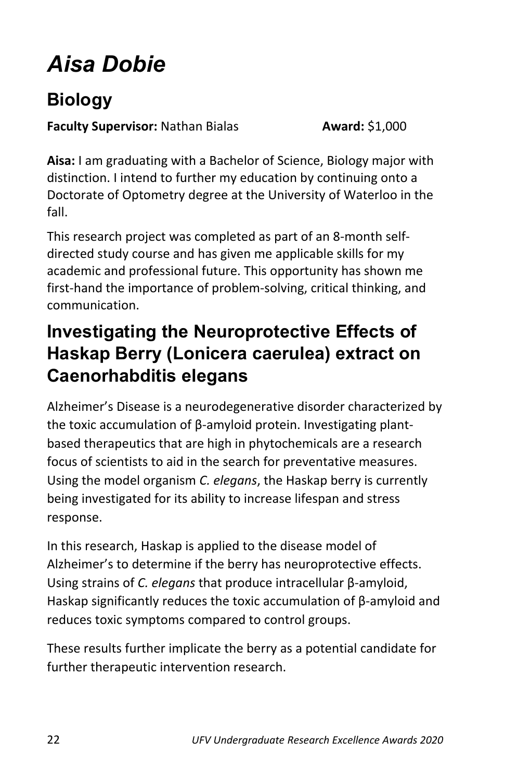## *Aisa Dobie*

### **Biology**

**Faculty Supervisor:** Nathan Bialas **Award:** \$1,000

**Aisa:** I am graduating with a Bachelor of Science, Biology major with distinction. I intend to further my education by continuing onto a Doctorate of Optometry degree at the University of Waterloo in the fall.

This research project was completed as part of an 8-month selfdirected study course and has given me applicable skills for my academic and professional future. This opportunity has shown me first-hand the importance of problem-solving, critical thinking, and communication.

#### **Investigating the Neuroprotective Effects of Haskap Berry (Lonicera caerulea) extract on Caenorhabditis elegans**

Alzheimer's Disease is a neurodegenerative disorder characterized by the toxic accumulation of β-amyloid protein. Investigating plantbased therapeutics that are high in phytochemicals are a research focus of scientists to aid in the search for preventative measures. Using the model organism *C. elegans*, the Haskap berry is currently being investigated for its ability to increase lifespan and stress response.

In this research, Haskap is applied to the disease model of Alzheimer's to determine if the berry has neuroprotective effects. Using strains of *C. elegans* that produce intracellular β-amyloid, Haskap significantly reduces the toxic accumulation of β-amyloid and reduces toxic symptoms compared to control groups.

These results further implicate the berry as a potential candidate for further therapeutic intervention research.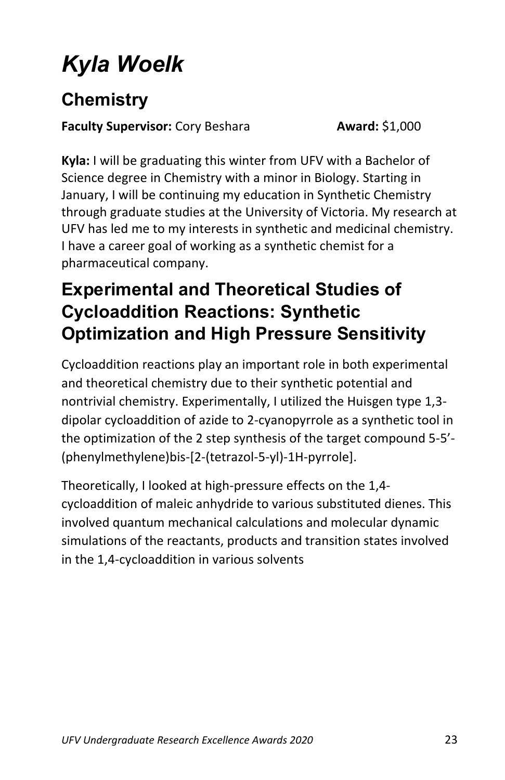## *Kyla Woelk*

### **Chemistry**

**Faculty Supervisor:** Cory Beshara **Award:** \$1,000

**Kyla:** I will be graduating this winter from UFV with a Bachelor of Science degree in Chemistry with a minor in Biology. Starting in January, I will be continuing my education in Synthetic Chemistry through graduate studies at the University of Victoria. My research at UFV has led me to my interests in synthetic and medicinal chemistry. I have a career goal of working as a synthetic chemist for a pharmaceutical company.

### **Experimental and Theoretical Studies of Cycloaddition Reactions: Synthetic Optimization and High Pressure Sensitivity**

Cycloaddition reactions play an important role in both experimental and theoretical chemistry due to their synthetic potential and nontrivial chemistry. Experimentally, I utilized the Huisgen type 1,3 dipolar cycloaddition of azide to 2-cyanopyrrole as a synthetic tool in the optimization of the 2 step synthesis of the target compound 5-5'- (phenylmethylene)bis-[2-(tetrazol-5-yl)-1H-pyrrole].

Theoretically, I looked at high-pressure effects on the 1,4 cycloaddition of maleic anhydride to various substituted dienes. This involved quantum mechanical calculations and molecular dynamic simulations of the reactants, products and transition states involved in the 1,4-cycloaddition in various solvents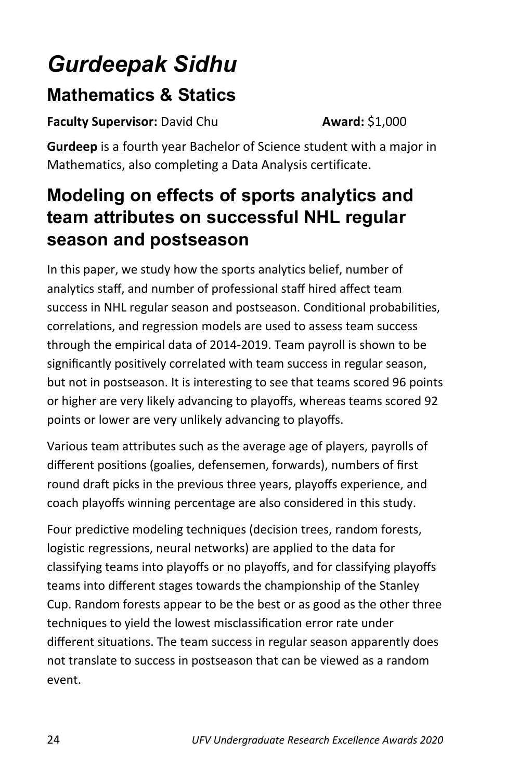## *Gurdeepak Sidhu*

#### **Mathematics & Statics**

**Faculty Supervisor:** David Chu **Award:** \$1,000

**Gurdeep** is a fourth year Bachelor of Science student with a major in Mathematics, also completing a Data Analysis certificate.

#### **Modeling on effects of sports analytics and team attributes on successful NHL regular season and postseason**

In this paper, we study how the sports analytics belief, number of analytics staff, and number of professional staff hired affect team success in NHL regular season and postseason. Conditional probabilities, correlations, and regression models are used to assess team success through the empirical data of 2014-2019. Team payroll is shown to be significantly positively correlated with team success in regular season, but not in postseason. It is interesting to see that teams scored 96 points or higher are very likely advancing to playoffs, whereas teams scored 92 points or lower are very unlikely advancing to playoffs.

Various team attributes such as the average age of players, payrolls of different positions (goalies, defensemen, forwards), numbers of first round draft picks in the previous three years, playoffs experience, and coach playoffs winning percentage are also considered in this study.

Four predictive modeling techniques (decision trees, random forests, logistic regressions, neural networks) are applied to the data for classifying teams into playoffs or no playoffs, and for classifying playoffs teams into different stages towards the championship of the Stanley Cup. Random forests appear to be the best or as good as the other three techniques to yield the lowest misclassification error rate under different situations. The team success in regular season apparently does not translate to success in postseason that can be viewed as a random event.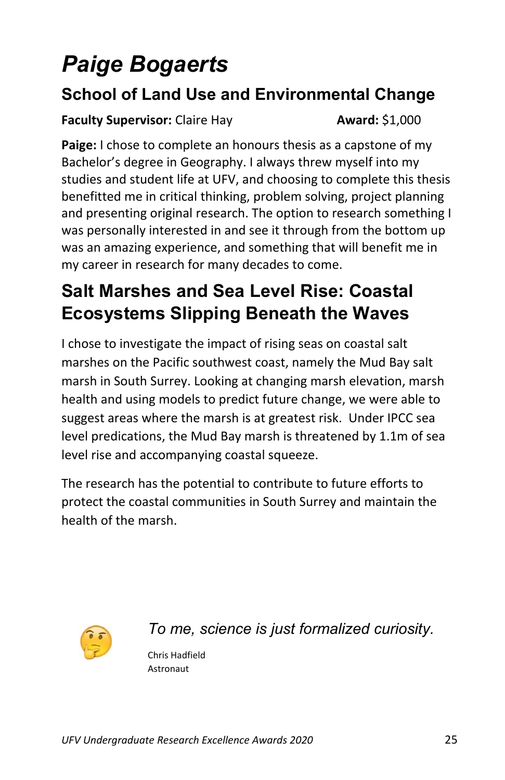## *Paige Bogaerts*

#### **School of Land Use and Environmental Change**

#### **Faculty Supervisor:** Claire Hay **Award:** \$1,000

Paige: I chose to complete an honours thesis as a capstone of my Bachelor's degree in Geography. I always threw myself into my studies and student life at UFV, and choosing to complete this thesis benefitted me in critical thinking, problem solving, project planning and presenting original research. The option to research something I was personally interested in and see it through from the bottom up was an amazing experience, and something that will benefit me in my career in research for many decades to come.

### **Salt Marshes and Sea Level Rise: Coastal Ecosystems Slipping Beneath the Waves**

I chose to investigate the impact of rising seas on coastal salt marshes on the Pacific southwest coast, namely the Mud Bay salt marsh in South Surrey. Looking at changing marsh elevation, marsh health and using models to predict future change, we were able to suggest areas where the marsh is at greatest risk. Under IPCC sea level predications, the Mud Bay marsh is threatened by 1.1m of sea level rise and accompanying coastal squeeze.

The research has the potential to contribute to future efforts to protect the coastal communities in South Surrey and maintain the health of the marsh.



*To me, science is just formalized curiosity.*

Chris Hadfield Astronaut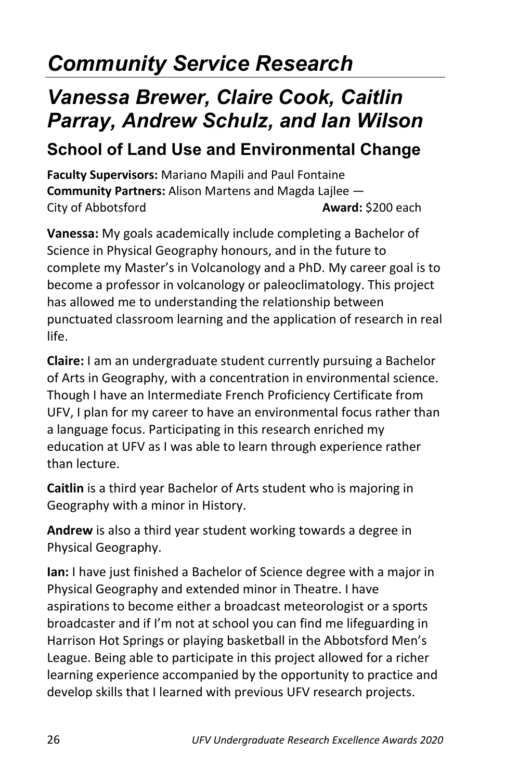## *Community Service Research*

### *Vanessa Brewer, Claire Cook, Caitlin Parray, Andrew Schulz, and Ian Wilson*

#### **School of Land Use and Environmental Change**

**Faculty Supervisors:** Mariano Mapili and Paul Fontaine **Community Partners:** Alison Martens and Magda Lajlee — City of Abbotsford **Award:** \$200 each

**Vanessa:** My goals academically include completing a Bachelor of Science in Physical Geography honours, and in the future to complete my Master's in Volcanology and a PhD. My career goal is to become a professor in volcanology or paleoclimatology. This project has allowed me to understanding the relationship between punctuated classroom learning and the application of research in real life.

**Claire:** I am an undergraduate student currently pursuing a Bachelor of Arts in Geography, with a concentration in environmental science. Though I have an Intermediate French Proficiency Certificate from UFV, I plan for my career to have an environmental focus rather than a language focus. Participating in this research enriched my education at UFV as I was able to learn through experience rather than lecture.

**Caitlin** is a third year Bachelor of Arts student who is majoring in Geography with a minor in History.

**Andrew** is also a third year student working towards a degree in Physical Geography.

**Ian:** I have just finished a Bachelor of Science degree with a major in Physical Geography and extended minor in Theatre. I have aspirations to become either a broadcast meteorologist or a sports broadcaster and if I'm not at school you can find me lifeguarding in Harrison Hot Springs or playing basketball in the Abbotsford Men's League. Being able to participate in this project allowed for a richer learning experience accompanied by the opportunity to practice and develop skills that I learned with previous UFV research projects.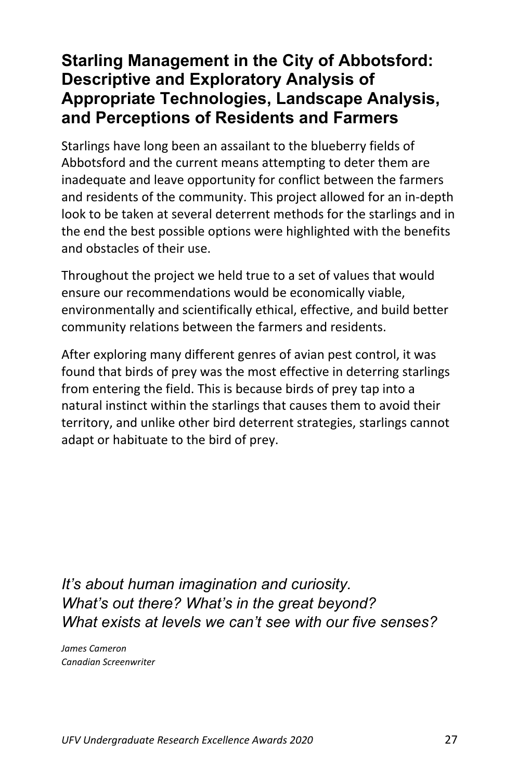#### **Starling Management in the City of Abbotsford: Descriptive and Exploratory Analysis of Appropriate Technologies, Landscape Analysis, and Perceptions of Residents and Farmers**

Starlings have long been an assailant to the blueberry fields of Abbotsford and the current means attempting to deter them are inadequate and leave opportunity for conflict between the farmers and residents of the community. This project allowed for an in-depth look to be taken at several deterrent methods for the starlings and in the end the best possible options were highlighted with the benefits and obstacles of their use.

Throughout the project we held true to a set of values that would ensure our recommendations would be economically viable, environmentally and scientifically ethical, effective, and build better community relations between the farmers and residents.

After exploring many different genres of avian pest control, it was found that birds of prey was the most effective in deterring starlings from entering the field. This is because birds of prey tap into a natural instinct within the starlings that causes them to avoid their territory, and unlike other bird deterrent strategies, starlings cannot adapt or habituate to the bird of prey.

*It's about human imagination and curiosity. What's out there? What's in the great beyond? What exists at levels we can't see with our five senses?*

*James Cameron Canadian Screenwriter*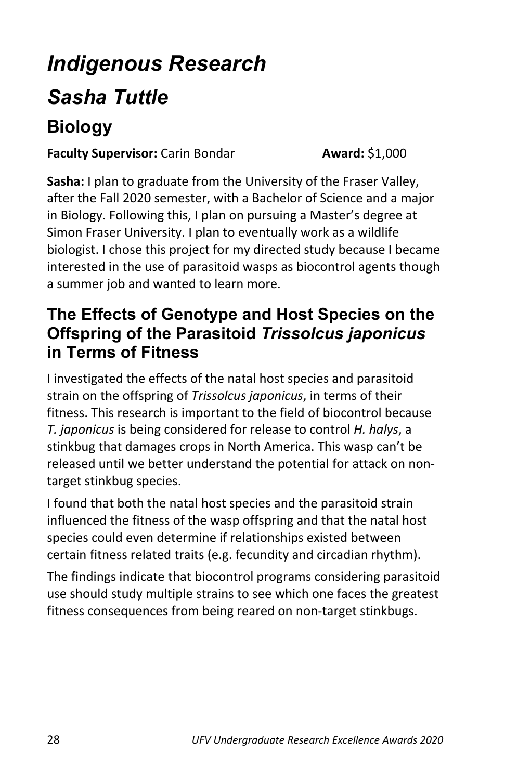## *Indigenous Research*

### *Sasha Tuttle*

### **Biology**

#### **Faculty Supervisor:** Carin Bondar **Award:** \$1,000

**Sasha:** I plan to graduate from the University of the Fraser Valley, after the Fall 2020 semester, with a Bachelor of Science and a major in Biology. Following this, I plan on pursuing a Master's degree at Simon Fraser University. I plan to eventually work as a wildlife biologist. I chose this project for my directed study because I became interested in the use of parasitoid wasps as biocontrol agents though a summer job and wanted to learn more.

#### **The Effects of Genotype and Host Species on the Offspring of the Parasitoid** *Trissolcus japonicus* **in Terms of Fitness**

I investigated the effects of the natal host species and parasitoid strain on the offspring of *Trissolcus japonicus*, in terms of their fitness. This research is important to the field of biocontrol because *T. japonicus* is being considered for release to control *H. halys*, a stinkbug that damages crops in North America. This wasp can't be released until we better understand the potential for attack on nontarget stinkbug species.

I found that both the natal host species and the parasitoid strain influenced the fitness of the wasp offspring and that the natal host species could even determine if relationships existed between certain fitness related traits (e.g. fecundity and circadian rhythm).

The findings indicate that biocontrol programs considering parasitoid use should study multiple strains to see which one faces the greatest fitness consequences from being reared on non-target stinkbugs.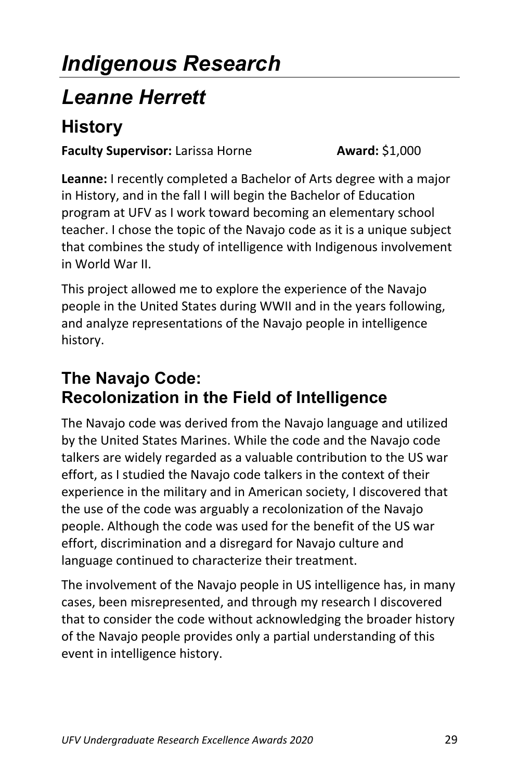## *Indigenous Research*

### *Leanne Herrett*

### **History**

**Faculty Supervisor:** Larissa Horne **Award:** \$1,000

**Leanne:** I recently completed a Bachelor of Arts degree with a major in History, and in the fall I will begin the Bachelor of Education program at UFV as I work toward becoming an elementary school teacher. I chose the topic of the Navajo code as it is a unique subject that combines the study of intelligence with Indigenous involvement in World War II.

This project allowed me to explore the experience of the Navajo people in the United States during WWII and in the years following, and analyze representations of the Navajo people in intelligence history.

#### **The Navajo Code: Recolonization in the Field of Intelligence**

The Navajo code was derived from the Navajo language and utilized by the United States Marines. While the code and the Navajo code talkers are widely regarded as a valuable contribution to the US war effort, as I studied the Navajo code talkers in the context of their experience in the military and in American society, I discovered that the use of the code was arguably a recolonization of the Navajo people. Although the code was used for the benefit of the US war effort, discrimination and a disregard for Navajo culture and language continued to characterize their treatment.

The involvement of the Navajo people in US intelligence has, in many cases, been misrepresented, and through my research I discovered that to consider the code without acknowledging the broader history of the Navajo people provides only a partial understanding of this event in intelligence history.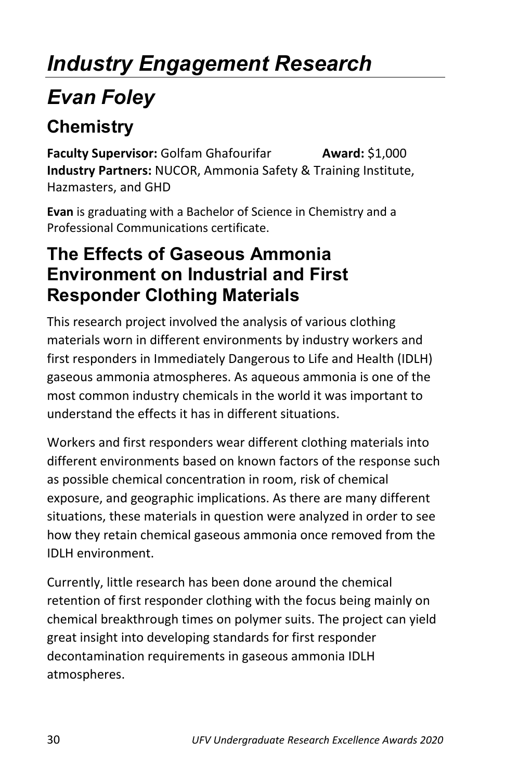## *Industry Engagement Research*

## *Evan Foley*

### **Chemistry**

**Faculty Supervisor:** Golfam Ghafourifar **Award:** \$1,000 **Industry Partners:** NUCOR, Ammonia Safety & Training Institute, Hazmasters, and GHD

**Evan** is graduating with a Bachelor of Science in Chemistry and a Professional Communications certificate.

#### **The Effects of Gaseous Ammonia Environment on Industrial and First Responder Clothing Materials**

This research project involved the analysis of various clothing materials worn in different environments by industry workers and first responders in Immediately Dangerous to Life and Health (IDLH) gaseous ammonia atmospheres. As aqueous ammonia is one of the most common industry chemicals in the world it was important to understand the effects it has in different situations.

Workers and first responders wear different clothing materials into different environments based on known factors of the response such as possible chemical concentration in room, risk of chemical exposure, and geographic implications. As there are many different situations, these materials in question were analyzed in order to see how they retain chemical gaseous ammonia once removed from the IDLH environment.

Currently, little research has been done around the chemical retention of first responder clothing with the focus being mainly on chemical breakthrough times on polymer suits. The project can yield great insight into developing standards for first responder decontamination requirements in gaseous ammonia IDLH atmospheres.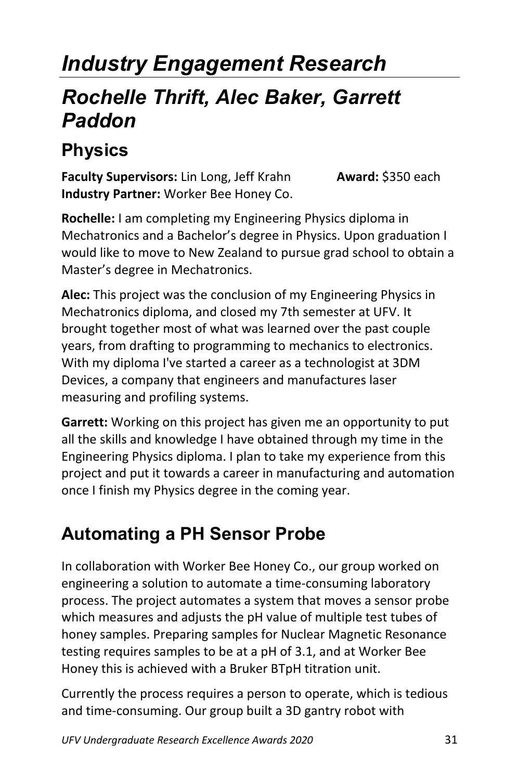## *Industry Engagement Research*

### *Rochelle Thrift, Alec Baker, Garrett Paddon*

### **Physics**

**Faculty Supervisors:** Lin Long, Jeff Krahn **Award:** \$350 each **Industry Partner:** Worker Bee Honey Co.

**Rochelle:** I am completing my Engineering Physics diploma in Mechatronics and a Bachelor's degree in Physics. Upon graduation I would like to move to New Zealand to pursue grad school to obtain a Master's degree in Mechatronics.

**Alec:** This project was the conclusion of my Engineering Physics in Mechatronics diploma, and closed my 7th semester at UFV. It brought together most of what was learned over the past couple years, from drafting to programming to mechanics to electronics. With my diploma I've started a career as a technologist at 3DM Devices, a company that engineers and manufactures laser measuring and profiling systems.

**Garrett:** Working on this project has given me an opportunity to put all the skills and knowledge I have obtained through my time in the Engineering Physics diploma. I plan to take my experience from this project and put it towards a career in manufacturing and automation once I finish my Physics degree in the coming year.

### **Automating a PH Sensor Probe**

In collaboration with Worker Bee Honey Co., our group worked on engineering a solution to automate a time-consuming laboratory process. The project automates a system that moves a sensor probe which measures and adjusts the pH value of multiple test tubes of honey samples. Preparing samples for Nuclear Magnetic Resonance testing requires samples to be at a pH of 3.1, and at Worker Bee Honey this is achieved with a Bruker BTpH titration unit.

Currently the process requires a person to operate, which is tedious and time-consuming. Our group built a 3D gantry robot with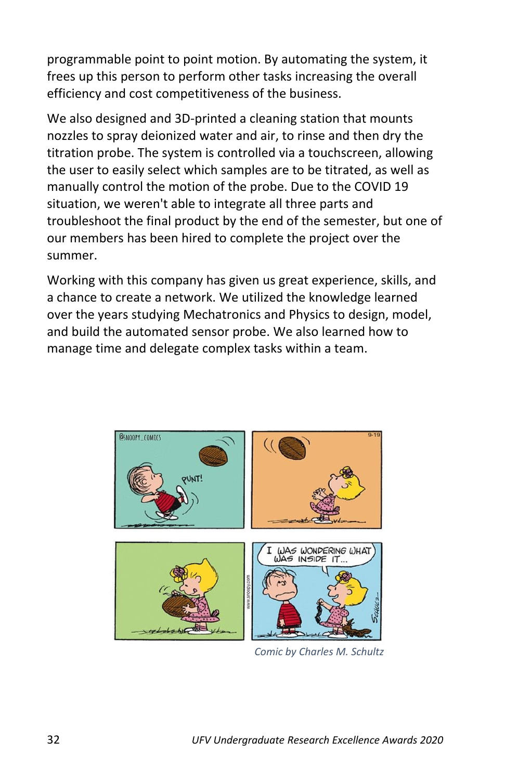programmable point to point motion. By automating the system, it frees up this person to perform other tasks increasing the overall efficiency and cost competitiveness of the business.

We also designed and 3D-printed a cleaning station that mounts nozzles to spray deionized water and air, to rinse and then dry the titration probe. The system is controlled via a touchscreen, allowing the user to easily select which samples are to be titrated, as well as manually control the motion of the probe. Due to the COVID 19 situation, we weren't able to integrate all three parts and troubleshoot the final product by the end of the semester, but one of our members has been hired to complete the project over the summer.

Working with this company has given us great experience, skills, and a chance to create a network. We utilized the knowledge learned over the years studying Mechatronics and Physics to design, model, and build the automated sensor probe. We also learned how to manage time and delegate complex tasks within a team.



*Comic by Charles M. Schultz*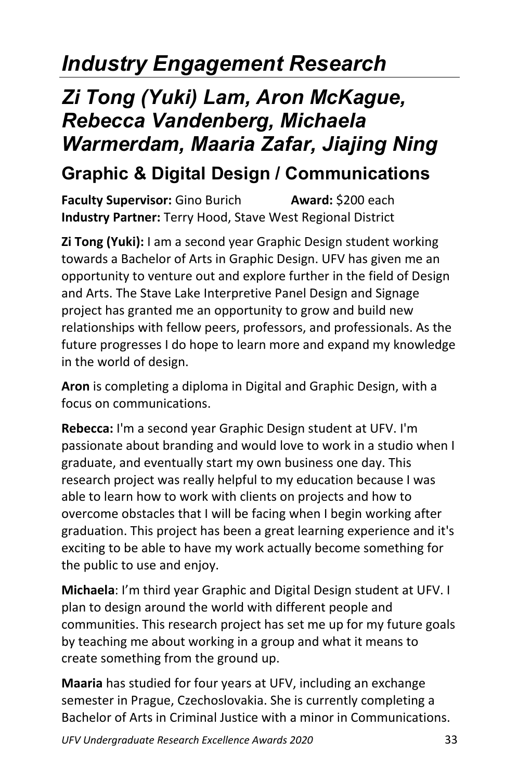## *Industry Engagement Research*

## *Zi Tong (Yuki) Lam, Aron McKague, Rebecca Vandenberg, Michaela Warmerdam, Maaria Zafar, Jiajing Ning*

### **Graphic & Digital Design / Communications**

**Faculty Supervisor:** Gino Burich **Award:** \$200 each **Industry Partner:** Terry Hood, Stave West Regional District

**Zi Tong (Yuki):** I am a second year Graphic Design student working towards a Bachelor of Arts in Graphic Design. UFV has given me an opportunity to venture out and explore further in the field of Design and Arts. The Stave Lake Interpretive Panel Design and Signage project has granted me an opportunity to grow and build new relationships with fellow peers, professors, and professionals. As the future progresses I do hope to learn more and expand my knowledge in the world of design.

**Aron** is completing a diploma in Digital and Graphic Design, with a focus on communications.

**Rebecca:** I'm a second year Graphic Design student at UFV. I'm passionate about branding and would love to work in a studio when I graduate, and eventually start my own business one day. This research project was really helpful to my education because I was able to learn how to work with clients on projects and how to overcome obstacles that I will be facing when I begin working after graduation. This project has been a great learning experience and it's exciting to be able to have my work actually become something for the public to use and enjoy.

**Michaela**: I'm third year Graphic and Digital Design student at UFV. I plan to design around the world with different people and communities. This research project has set me up for my future goals by teaching me about working in a group and what it means to create something from the ground up.

**Maaria** has studied for four years at UFV, including an exchange semester in Prague, Czechoslovakia. She is currently completing a Bachelor of Arts in Criminal Justice with a minor in Communications.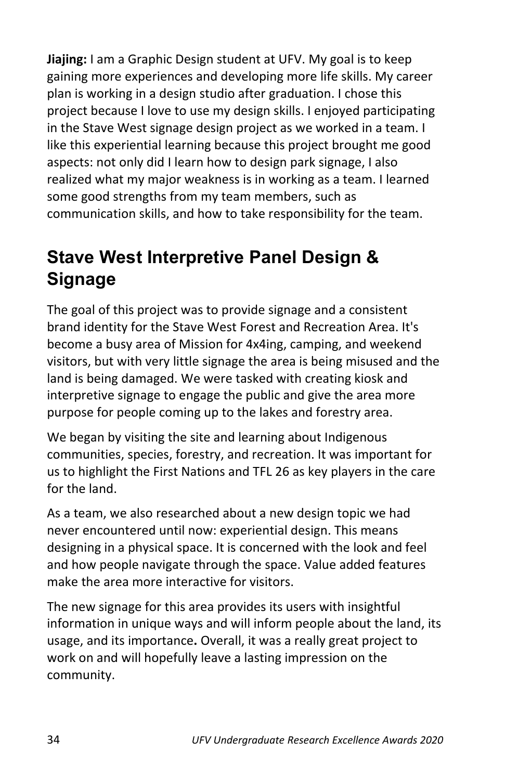**Jiajing:** I am a Graphic Design student at UFV. My goal is to keep gaining more experiences and developing more life skills. My career plan is working in a design studio after graduation. I chose this project because I love to use my design skills. I enjoyed participating in the Stave West signage design project as we worked in a team. I like this experiential learning because this project brought me good aspects: not only did I learn how to design park signage, I also realized what my major weakness is in working as a team. I learned some good strengths from my team members, such as communication skills, and how to take responsibility for the team.

### **Stave West Interpretive Panel Design & Signage**

The goal of this project was to provide signage and a consistent brand identity for the Stave West Forest and Recreation Area. It's become a busy area of Mission for 4x4ing, camping, and weekend visitors, but with very little signage the area is being misused and the land is being damaged. We were tasked with creating kiosk and interpretive signage to engage the public and give the area more purpose for people coming up to the lakes and forestry area.

We began by visiting the site and learning about Indigenous communities, species, forestry, and recreation. It was important for us to highlight the First Nations and TFL 26 as key players in the care for the land.

As a team, we also researched about a new design topic we had never encountered until now: experiential design. This means designing in a physical space. It is concerned with the look and feel and how people navigate through the space. Value added features make the area more interactive for visitors.

The new signage for this area provides its users with insightful information in unique ways and will inform people about the land, its usage, and its importance**.** Overall, it was a really great project to work on and will hopefully leave a lasting impression on the community.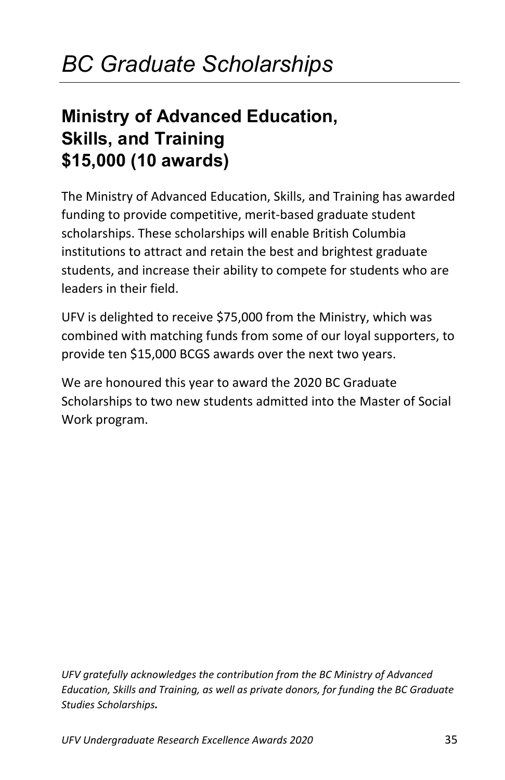#### **Ministry of Advanced Education, Skills, and Training \$15,000 (10 awards)**

The Ministry of Advanced Education, Skills, and Training has awarded funding to provide competitive, merit-based graduate student scholarships. These scholarships will enable British Columbia institutions to attract and retain the best and brightest graduate students, and increase their ability to compete for students who are leaders in their field.

UFV is delighted to receive \$75,000 from the Ministry, which was combined with matching funds from some of our loyal supporters, to provide ten \$15,000 BCGS awards over the next two years.

We are honoured this year to award the 2020 BC Graduate Scholarships to two new students admitted into the Master of Social Work program.

*UFV gratefully acknowledges the contribution from the BC Ministry of Advanced Education, Skills and Training, as well as private donors, for funding the BC Graduate Studies Scholarships.*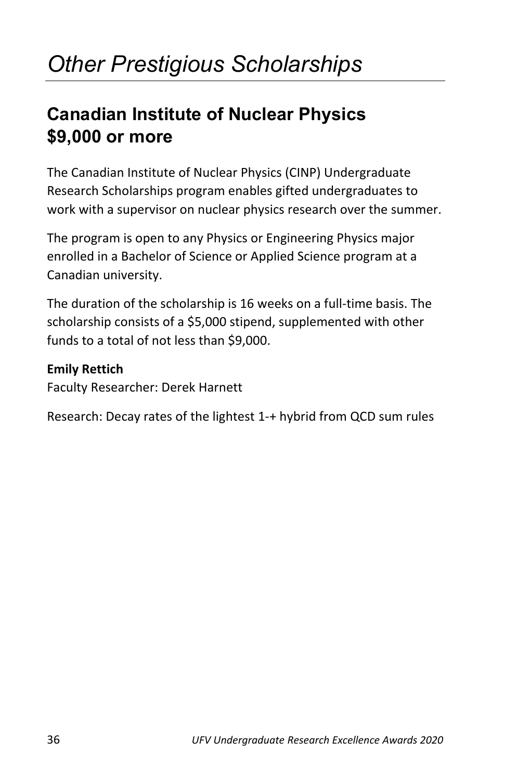## *Other Prestigious Scholarships*

#### **Canadian Institute of Nuclear Physics \$9,000 or more**

The Canadian Institute of Nuclear Physics (CINP) Undergraduate Research Scholarships program enables gifted undergraduates to work with a supervisor on nuclear physics research over the summer.

The program is open to any Physics or Engineering Physics major enrolled in a Bachelor of Science or Applied Science program at a Canadian university.

The duration of the scholarship is 16 weeks on a full-time basis. The scholarship consists of a \$5,000 stipend, supplemented with other funds to a total of not less than \$9,000.

#### **Emily Rettich**

Faculty Researcher: Derek Harnett

Research: Decay rates of the lightest 1-+ hybrid from QCD sum rules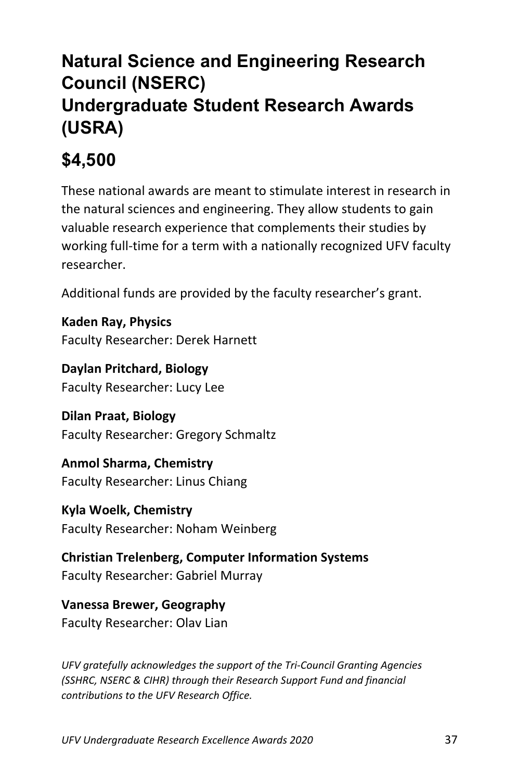### **Natural Science and Engineering Research Council (NSERC) Undergraduate Student Research Awards (USRA)**

### **\$4,500**

These national awards are meant to stimulate interest in research in the natural sciences and engineering. They allow students to gain valuable research experience that complements their studies by working full-time for a term with a nationally recognized UFV faculty researcher.

Additional funds are provided by the faculty researcher's grant.

**Kaden Ray, Physics** Faculty Researcher: Derek Harnett

**Daylan Pritchard, Biology** Faculty Researcher: Lucy Lee

**Dilan Praat, Biology** Faculty Researcher: Gregory Schmaltz

**Anmol Sharma, Chemistry** Faculty Researcher: Linus Chiang

**Kyla Woelk, Chemistry** Faculty Researcher: Noham Weinberg

**Christian Trelenberg, Computer Information Systems** Faculty Researcher: Gabriel Murray

**Vanessa Brewer, Geography** Faculty Researcher: Olav Lian

*UFV gratefully acknowledges the support of the Tri-Council Granting Agencies (SSHRC, NSERC & CIHR) through their Research Support Fund and financial contributions to the UFV Research Office.*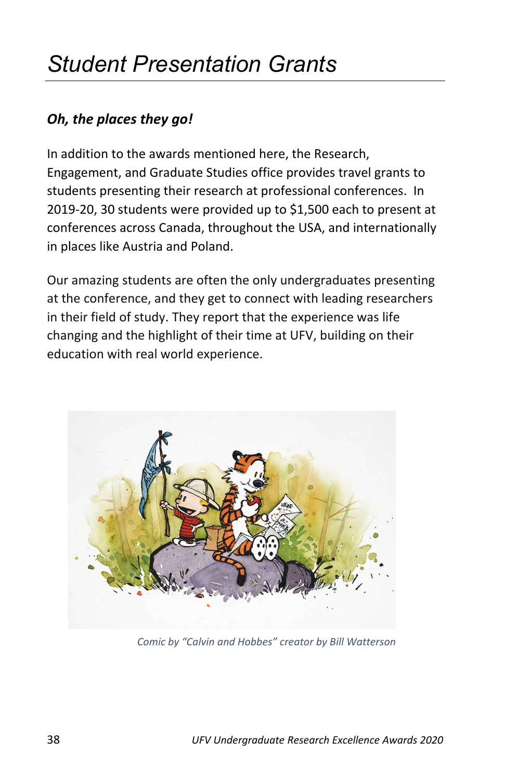## *Student Presentation Grants*

#### *Oh, the places they go!*

In addition to the awards mentioned here, the Research, Engagement, and Graduate Studies office provides travel grants to students presenting their research at professional conferences. In 2019-20, 30 students were provided up to \$1,500 each to present at conferences across Canada, throughout the USA, and internationally in places like Austria and Poland.

Our amazing students are often the only undergraduates presenting at the conference, and they get to connect with leading researchers in their field of study. They report that the experience was life changing and the highlight of their time at UFV, building on their education with real world experience.



*Comic by "Calvin and Hobbes" creator by Bill Watterson*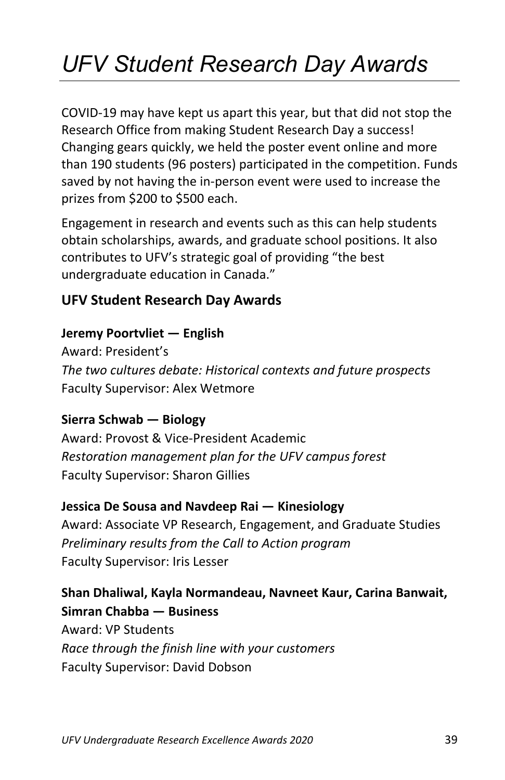## *UFV Student Research Day Awards*

COVID-19 may have kept us apart this year, but that did not stop the Research Office from making Student Research Day a success! Changing gears quickly, we held the poster event online and more than 190 students (96 posters) participated in the competition. Funds saved by not having the in-person event were used to increase the prizes from \$200 to \$500 each.

Engagement in research and events such as this can help students obtain scholarships, awards, and graduate school positions. It also contributes to UFV's strategic goal of providing "the best undergraduate education in Canada."

#### **UFV Student Research Day Awards**

#### **Jeremy Poortvliet — English**

Award: President's *The two cultures debate: Historical contexts and future prospects* Faculty Supervisor: Alex Wetmore

#### **Sierra Schwab — Biology**

Award: Provost & Vice-President Academic *Restoration management plan for the UFV campus forest* Faculty Supervisor: Sharon Gillies

#### **Jessica De Sousa and Navdeep Rai — Kinesiology**

Award: Associate VP Research, Engagement, and Graduate Studies *Preliminary results from the Call to Action program* Faculty Supervisor: Iris Lesser

#### **Shan Dhaliwal, Kayla Normandeau, Navneet Kaur, Carina Banwait, Simran Chabba — Business**

Award: VP Students *Race through the finish line with your customers* Faculty Supervisor: David Dobson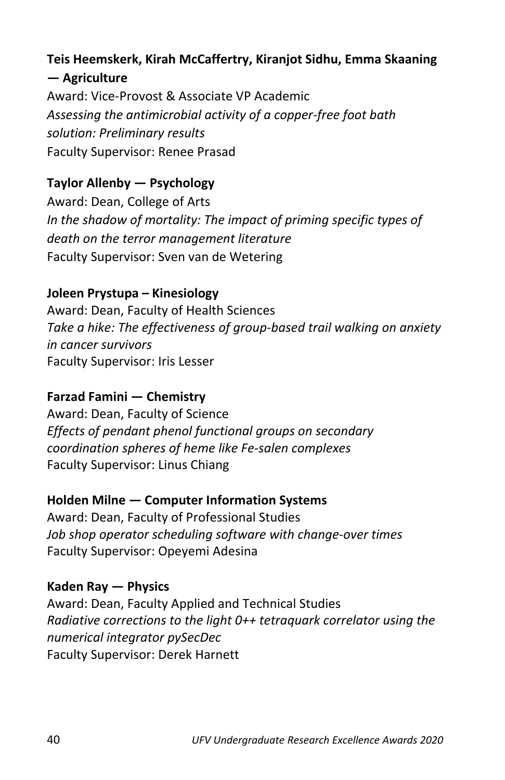#### **Teis Heemskerk, Kirah McCaffertry, Kiranjot Sidhu, Emma Skaaning — Agriculture**

Award: Vice-Provost & Associate VP Academic *Assessing the antimicrobial activity of a copper-free foot bath solution: Preliminary results* Faculty Supervisor: Renee Prasad

#### **Taylor Allenby — Psychology**

Award: Dean, College of Arts *In the shadow of mortality: The impact of priming specific types of death on the terror management literature* Faculty Supervisor: Sven van de Wetering

#### **Joleen Prystupa – Kinesiology**

Award: Dean, Faculty of Health Sciences *Take a hike: The effectiveness of group-based trail walking on anxiety in cancer survivors*  Faculty Supervisor: Iris Lesser

#### **Farzad Famini — Chemistry**

Award: Dean, Faculty of Science *Effects of pendant phenol functional groups on secondary coordination spheres of heme like Fe-salen complexes* Faculty Supervisor: Linus Chiang

#### **Holden Milne — Computer Information Systems**

Award: Dean, Faculty of Professional Studies *Job shop operator scheduling software with change-over times*  Faculty Supervisor: Opeyemi Adesina

**Kaden Ray — Physics** Award: Dean, Faculty Applied and Technical Studies *Radiative corrections to the light 0++ tetraquark correlator using the numerical integrator pySecDec*  Faculty Supervisor: Derek Harnett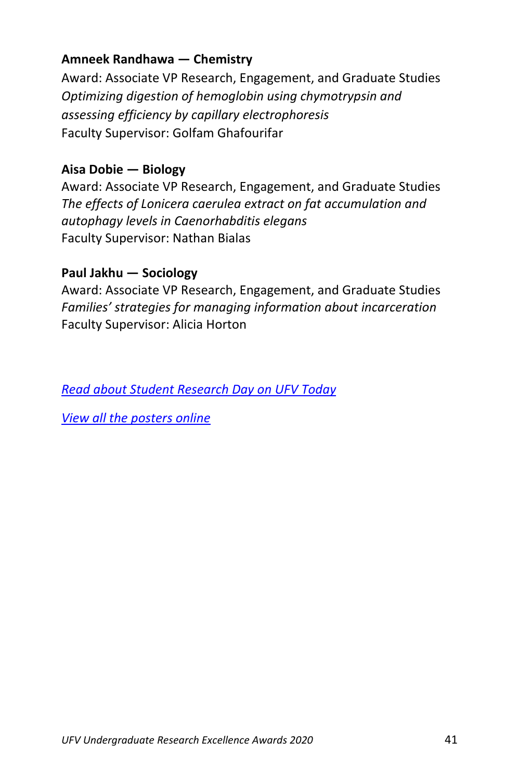#### **Amneek Randhawa — Chemistry**

Award: Associate VP Research, Engagement, and Graduate Studies *Optimizing digestion of hemoglobin using chymotrypsin and assessing efficiency by capillary electrophoresis* Faculty Supervisor: Golfam Ghafourifar

#### **Aisa Dobie — Biology**

Award: Associate VP Research, Engagement, and Graduate Studies *The effects of Lonicera caerulea extract on fat accumulation and autophagy levels in Caenorhabditis elegans*  Faculty Supervisor: Nathan Bialas

#### **Paul Jakhu — Sociology**

Award: Associate VP Research, Engagement, and Graduate Studies *Families' strategies for managing information about incarceration*  Faculty Supervisor: Alicia Horton

*[Read about Student Research Day on UFV Today](https://blogs.ufv.ca/blog/2020/03/ufv-student-research-day-goes-digital-in-response-to-covid-19-restrictions/)*

*[View all the posters online](https://www.ufv.ca/research/student-research-day/)*